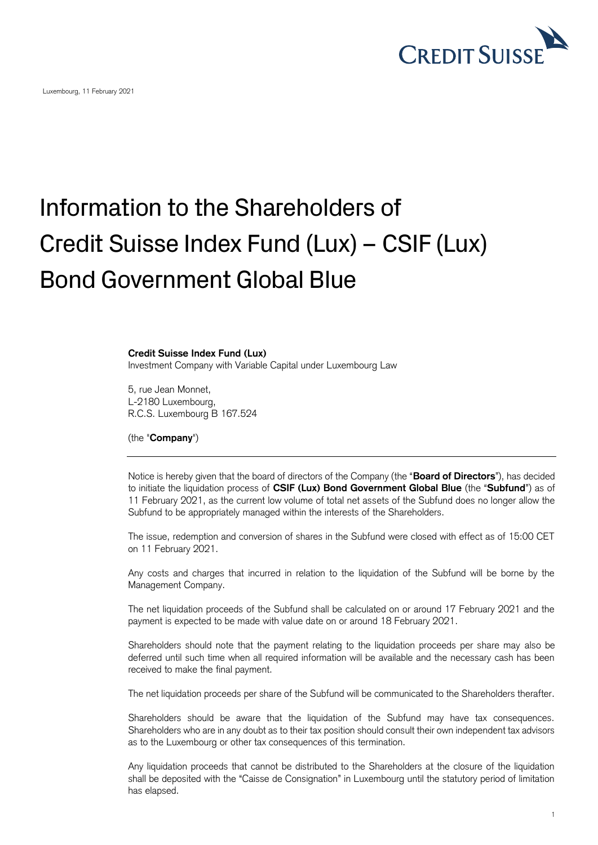

Luxembourg, 11 February 2021

## Information to the Shareholders of Credit Suisse Index Fund (Lux) – CSIF (Lux) Bond Government Global Blue

## **Credit Suisse Index Fund (Lux)**

Investment Company with Variable Capital under Luxembourg Law

5, rue Jean Monnet, L-2180 Luxembourg, R.C.S. Luxembourg B 167.524

(the "**Company**")

Notice is hereby given that the board of directors of the Company (the "**Board of Directors**"), has decided to initiate the liquidation process of **CSIF (Lux) Bond Government Global Blue** (the "**Subfund**") as of 11 February 2021, as the current low volume of total net assets of the Subfund does no longer allow the Subfund to be appropriately managed within the interests of the Shareholders.

The issue, redemption and conversion of shares in the Subfund were closed with effect as of 15:00 CET on 11 February 2021.

Any costs and charges that incurred in relation to the liquidation of the Subfund will be borne by the Management Company.

The net liquidation proceeds of the Subfund shall be calculated on or around 17 February 2021 and the payment is expected to be made with value date on or around 18 February 2021.

Shareholders should note that the payment relating to the liquidation proceeds per share may also be deferred until such time when all required information will be available and the necessary cash has been received to make the final payment.

The net liquidation proceeds per share of the Subfund will be communicated to the Shareholders therafter.

Shareholders should be aware that the liquidation of the Subfund may have tax consequences. Shareholders who are in any doubt as to their tax position should consult their own independent tax advisors as to the Luxembourg or other tax consequences of this termination.

Any liquidation proceeds that cannot be distributed to the Shareholders at the closure of the liquidation shall be deposited with the "Caisse de Consignation" in Luxembourg until the statutory period of limitation has elapsed.